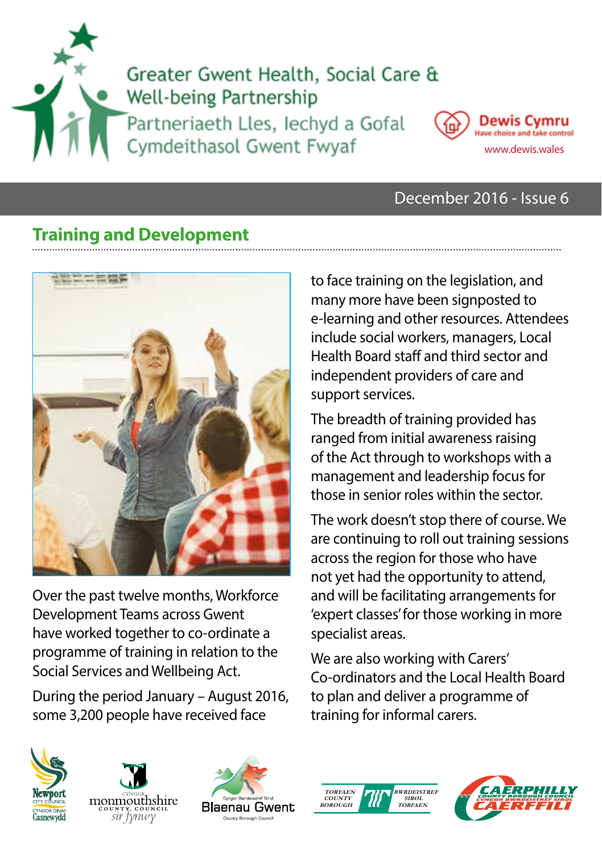



### December 2016 - Issue 6

## **Training and Development**



Over the past twelve months, Workforce Development Teams across Gwent have worked together to co-ordinate a programme of training in relation to the Social Services and Wellbeing Act.

During the period January – August 2016, some 3,200 people have received face

to face training on the legislation, and many more have been signposted to e-learning and other resources. Attendees include social workers, managers, Local Health Board staff and third sector and independent providers of care and support services.

The breadth of training provided has ranged from initial awareness raising of the Act through to workshops with a management and leadership focus for those in senior roles within the sector.

The work doesn't stop there of course. We are continuing to roll out training sessions across the region for those who have not yet had the opportunity to attend, and will be facilitating arrangements for 'expert classes' for those working in more specialist areas.

We are also working with Carers' Co-ordinators and the Local Health Board to plan and deliver a programme of training for informal carers.









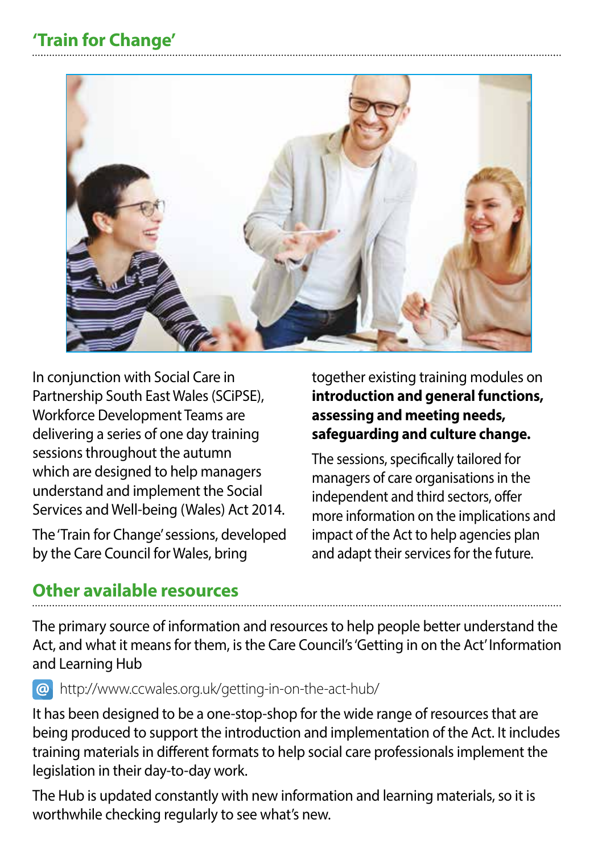# **'Train for Change'**



In conjunction with Social Care in Partnership South East Wales (SCiPSE), Workforce Development Teams are delivering a series of one day training sessions throughout the autumn which are designed to help managers understand and implement the Social Services and Well-being (Wales) Act 2014.

The 'Train for Change' sessions, developed by the Care Council for Wales, bring

together existing training modules on **introduction and general functions, assessing and meeting needs, safeguarding and culture change.** 

The sessions, specifically tailored for managers of care organisations in the independent and third sectors, offer more information on the implications and impact of the Act to help agencies plan and adapt their services for the future.

## **Other available resources**

The primary source of information and resources to help people better understand the Act, and what it means for them, is the Care Council's 'Getting in on the Act' Information and Learning Hub

http://www.ccwales.org.uk/getting-in-on-the-act-hub/

It has been designed to be a one-stop-shop for the wide range of resources that are being produced to support the introduction and implementation of the Act. It includes training materials in different formats to help social care professionals implement the legislation in their day-to-day work.

The Hub is updated constantly with new information and learning materials, so it is worthwhile checking regularly to see what's new.